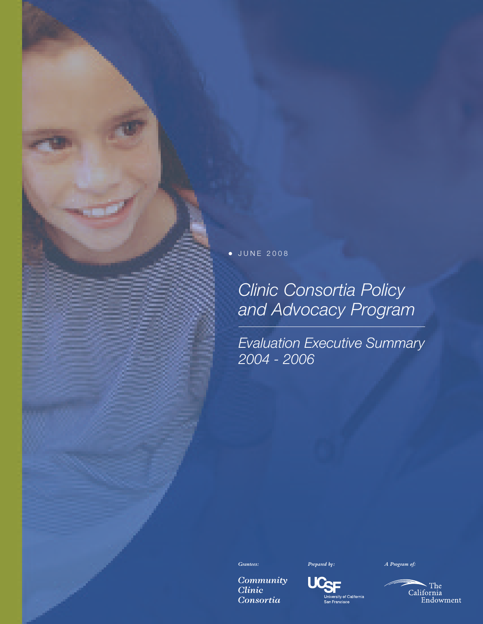J U N E 2 0 0 8  $\bullet$ 

# *Clinic Consortia Policy and Advocacy Program*

*Evaluation Executive Summary 2004 - 2006*



Community **Clinic** Consortia



Univ

San Francisco

\_<br>ersity of California

UC

 $\sim$  The California Endowment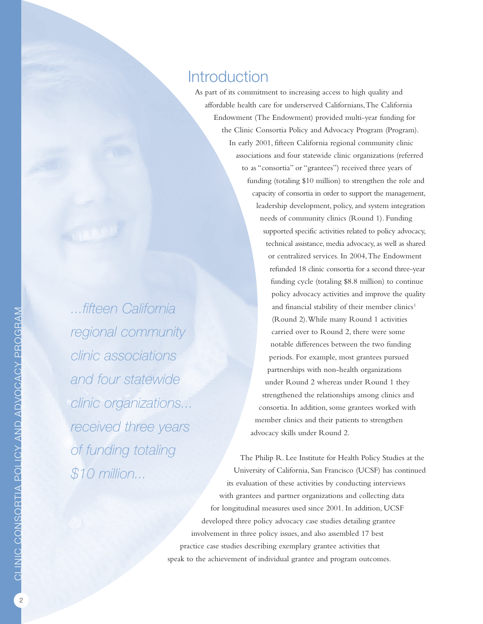## **Introduction**

As part of its commitment to increasing access to high quality and affordable health care for underserved Californians,The California Endowment (The Endowment) provided multi-year funding for the Clinic Consortia Policy and Advocacy Program (Program). In early 2001, fifteen California regional community clinic associations and four statewide clinic organizations (referred to as "consortia" or "grantees") received three years of funding (totaling \$10 million) to strengthen the role and capacity of consortia in order to support the management, leadership development, policy, and system integration needs of community clinics (Round 1). Funding supported specific activities related to policy advocacy, technical assistance, media advocacy, as well as shared or centralized services. In 2004,The Endowment refunded 18 clinic consortia for a second three-year funding cycle (totaling \$8.8 million) to continue policy advocacy activities and improve the quality and financial stability of their member clinics<sup>1</sup> (Round 2).While many Round 1 activities carried over to Round 2, there were some notable differences between the two funding periods. For example, most grantees pursued partnerships with non-health organizations under Round 2 whereas under Round 1 they strengthened the relationships among clinics and consortia. In addition, some grantees worked with member clinics and their patients to strengthen advocacy skills under Round 2.

The Philip R. Lee Institute for Health Policy Studies at the University of California, San Francisco (UCSF) has continued its evaluation of these activities by conducting interviews with grantees and partner organizations and collecting data for longitudinal measures used since 2001. In addition, UCSF developed three policy advocacy case studies detailing grantee involvement in three policy issues, and also assembled 17 best practice case studies describing exemplary grantee activities that speak to the achievement of individual grantee and program outcomes.

*...fifteen California regional community clinic associations and four statewide clinic organizations... received three years of funding totaling \$10 million...*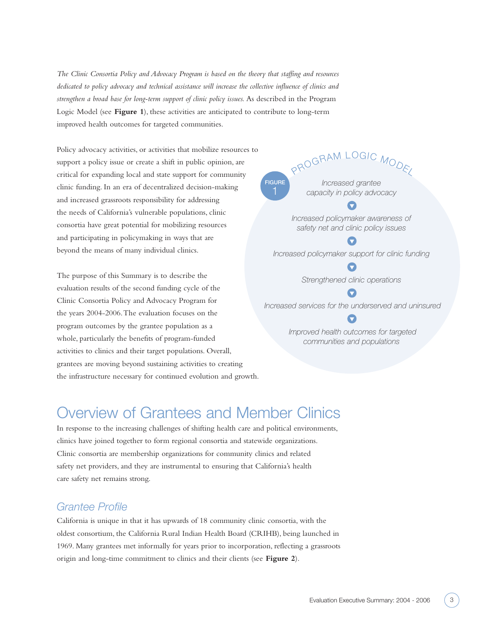*The Clinic Consortia Policy and Advocacy Program is based on the theory that staffing and resources dedicated to policy advocacy and technical assistance will increase the collective influence of clinics and strengthen a broad base for long-term support of clinic policy issues.* As described in the Program Logic Model (see **Figure 1**), these activities are anticipated to contribute to long-term improved health outcomes for targeted communities.

Policy advocacy activities, or activities that mobilize resources to support a policy issue or create a shift in public opinion, are critical for expanding local and state support for community clinic funding. In an era of decentralized decision-making and increased grassroots responsibility for addressing the needs of California's vulnerable populations, clinic consortia have great potential for mobilizing resources and participating in policymaking in ways that are beyond the means of many individual clinics.

The purpose of this Summary is to describe the evaluation results of the second funding cycle of the Clinic Consortia Policy and Advocacy Program for the years 2004-2006.The evaluation focuses on the program outcomes by the grantee population as a whole, particularly the benefits of program-funded activities to clinics and their target populations. Overall, grantees are moving beyond sustaining activities to creating the infrastructure necessary for continued evolution and growth.

## PROGRAM LOGIC MODE *Increased grantee capacity in policy advocacy*

**FIGURE**

*Increased policymaker awareness of safety net and clinic policy issues*

*Increased policymaker support for clinic funding*

 $\blacksquare$ *Strengthened clinic operations*

Œ *Increased services for the underserved and uninsured*

> *Improved health outcomes for targeted communities and populations*

## Overview of Grantees and Member Clinics

In response to the increasing challenges of shifting health care and political environments, clinics have joined together to form regional consortia and statewide organizations. Clinic consortia are membership organizations for community clinics and related safety net providers, and they are instrumental to ensuring that California's health care safety net remains strong.

### *Grantee Profile*

California is unique in that it has upwards of 18 community clinic consortia, with the oldest consortium, the California Rural Indian Health Board (CRIHB), being launched in 1969. Many grantees met informally for years prior to incorporation, reflecting a grassroots origin and long-time commitment to clinics and their clients (see **Figure 2**).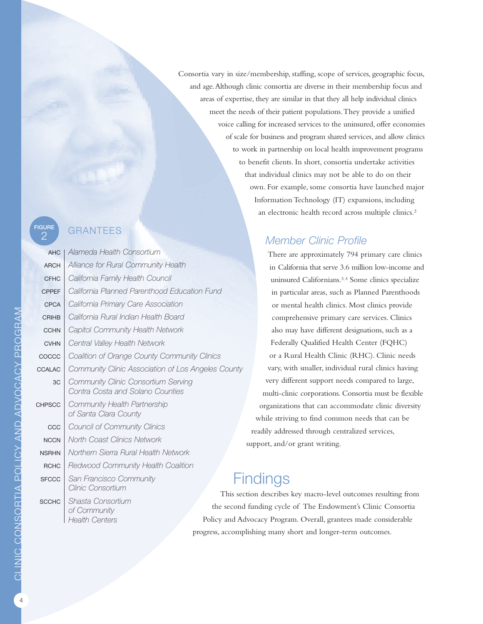# FIGURE **GRANTEES**

| 2             | UNAINTELO                                                               |
|---------------|-------------------------------------------------------------------------|
| <b>AHC</b>    | Alameda Health Consortium                                               |
| <b>ARCH</b>   | Alliance for Rural Community Health                                     |
| <b>CFHC</b>   | California Family Health Council                                        |
| <b>CPPEF</b>  | California Planned Parenthood Education Fund                            |
| <b>CPCA</b>   | California Primary Care Association                                     |
| <b>CRIHB</b>  | California Rural Indian Health Board                                    |
| <b>CCHN</b>   | Capitol Community Health Network                                        |
| <b>CVHN</b>   | Central Valley Health Network                                           |
| COCCC         | Coalition of Orange County Community Clinics                            |
| <b>CCALAC</b> | Community Clinic Association of Los Angeles County                      |
| 3C            | Community Clinic Consortium Serving<br>Contra Costa and Solano Counties |
| <b>CHPSCC</b> | Community Health Partnership<br>of Santa Clara County                   |
| CCC           | <b>Council of Community Clinics</b>                                     |
| <b>NCCN</b>   | North Coast Clinics Network                                             |
| <b>NSRHN</b>  | Northern Sierra Rural Health Network                                    |
| <b>RCHC</b>   | Redwood Community Health Coalition                                      |
| <b>SFCCC</b>  | San Francisco Community<br>Clinic Consortium                            |
| <b>SCCHC</b>  | This sect<br>Shasta Consortium<br>the second<br>of Community            |

*Health Centers*

Consortia vary in size/membership, staffing, scope of services, geographic focus, and age.Although clinic consortia are diverse in their membership focus and areas of expertise, they are similar in that they all help individual clinics meet the needs of their patient populations.They provide a unified voice calling for increased services to the uninsured, offer economies of scale for business and program shared services, and allow clinics to work in partnership on local health improvement programs to benefit clients. In short, consortia undertake activities that individual clinics may not be able to do on their own. For example, some consortia have launched major Information Technology (IT) expansions, including an electronic health record across multiple clinics. 2

## *Member Clinic Profile*

There are approximately 794 primary care clinics in California that serve 3.6 million low-income and uninsured Californians. 3,4 Some clinics specialize in particular areas, such as Planned Parenthoods or mental health clinics. Most clinics provide comprehensive primary care services. Clinics also may have different designations, such as a Federally Qualified Health Center (FQHC) or a Rural Health Clinic (RHC). Clinic needs vary, with smaller, individual rural clinics having very different support needs compared to large, multi-clinic corporations. Consortia must be flexible organizations that can accommodate clinic diversity while striving to find common needs that can be readily addressed through centralized services, support, and/or grant writing.

## ndings

tion describes key macro-level outcomes resulting from funding cycle of The Endowment's Clinic Consortia Policy and Advocacy Program. Overall, grantees made considerable progress, accomplishing many short and longer-term outcomes.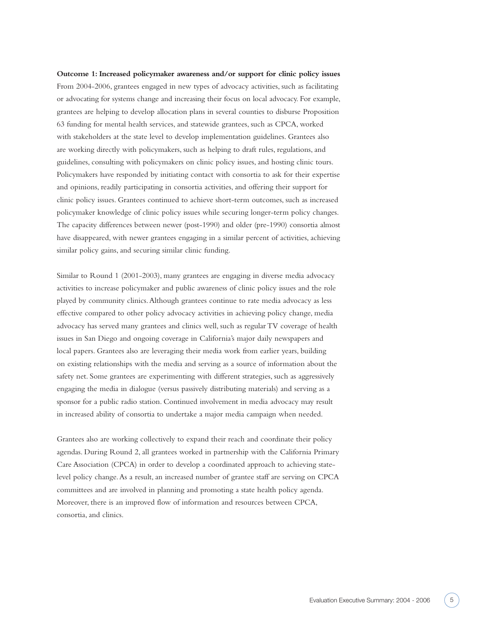**Outcome 1: Increased policymaker awareness and/or support for clinic policy issues** From 2004-2006, grantees engaged in new types of advocacy activities, such as facilitating or advocating for systems change and increasing their focus on local advocacy. For example, grantees are helping to develop allocation plans in several counties to disburse Proposition 63 funding for mental health services, and statewide grantees, such as CPCA, worked with stakeholders at the state level to develop implementation guidelines. Grantees also are working directly with policymakers, such as helping to draft rules, regulations, and guidelines, consulting with policymakers on clinic policy issues, and hosting clinic tours. Policymakers have responded by initiating contact with consortia to ask for their expertise and opinions, readily participating in consortia activities, and offering their support for clinic policy issues. Grantees continued to achieve short-term outcomes, such as increased policymaker knowledge of clinic policy issues while securing longer-term policy changes. The capacity differences between newer (post-1990) and older (pre-1990) consortia almost have disappeared, with newer grantees engaging in a similar percent of activities, achieving similar policy gains, and securing similar clinic funding.

Similar to Round 1 (2001-2003), many grantees are engaging in diverse media advocacy activities to increase policymaker and public awareness of clinic policy issues and the role played by community clinics.Although grantees continue to rate media advocacy as less effective compared to other policy advocacy activities in achieving policy change, media advocacy has served many grantees and clinics well, such as regular TV coverage of health issues in San Diego and ongoing coverage in California's major daily newspapers and local papers. Grantees also are leveraging their media work from earlier years, building on existing relationships with the media and serving as a source of information about the safety net. Some grantees are experimenting with different strategies, such as aggressively engaging the media in dialogue (versus passively distributing materials) and serving as a sponsor for a public radio station. Continued involvement in media advocacy may result in increased ability of consortia to undertake a major media campaign when needed.

Grantees also are working collectively to expand their reach and coordinate their policy agendas. During Round 2, all grantees worked in partnership with the California Primary Care Association (CPCA) in order to develop a coordinated approach to achieving statelevel policy change.As a result, an increased number of grantee staff are serving on CPCA committees and are involved in planning and promoting a state health policy agenda. Moreover, there is an improved flow of information and resources between CPCA, consortia, and clinics.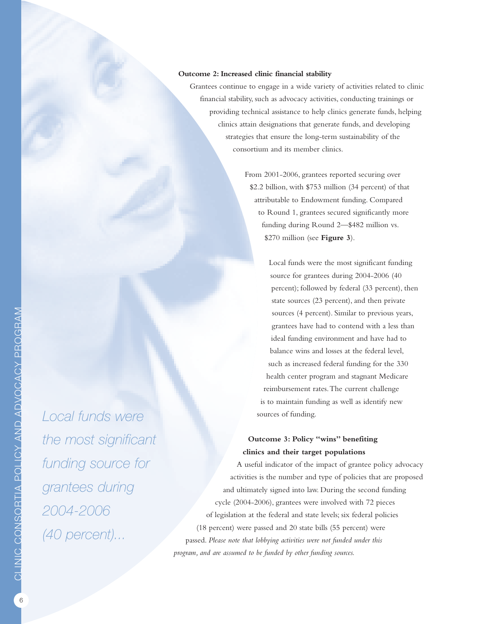#### **Outcome 2: Increased clinic financial stability**

Grantees continue to engage in a wide variety of activities related to clinic financial stability, such as advocacy activities, conducting trainings or providing technical assistance to help clinics generate funds, helping clinics attain designations that generate funds, and developing strategies that ensure the long-term sustainability of the consortium and its member clinics.

> From 2001-2006, grantees reported securing over \$2.2 billion, with \$753 million (34 percent) of that attributable to Endowment funding. Compared to Round 1, grantees secured significantly more funding during Round 2—\$482 million vs. \$270 million (see **Figure 3**).

Local funds were the most significant funding source for grantees during 2004-2006 (40 percent); followed by federal (33 percent), then state sources (23 percent), and then private sources (4 percent). Similar to previous years, grantees have had to contend with a less than ideal funding environment and have had to balance wins and losses at the federal level, such as increased federal funding for the 330 health center program and stagnant Medicare reimbursement rates.The current challenge is to maintain funding as well as identify new sources of funding.

#### **Outcome 3: Policy "wins" benefiting clinics and their target populations**

A useful indicator of the impact of grantee policy advocacy activities is the number and type of policies that are proposed and ultimately signed into law. During the second funding cycle (2004-2006), grantees were involved with 72 pieces of legislation at the federal and state levels; six federal policies (18 percent) were passed and 20 state bills (55 percent) were passed. *Please note that lobbying activities were not funded under this program, and are assumed to be funded by other funding sources.*

 $\mathbf C$ LINIC  $\mathbf C$  $\mathbf{\Omega}$ N <u>က</u>  $\mathbf{\Omega}$  $\alpha$  $\triangleq$  $\mathsf{\Omega}$  $\mathbf{\Omega}$  $\Xi$  $\succ$  $\triangleleft$ N  $\Box$  $\triangleleft$  $\Box$  $\gt$  $\mathbf{\Omega}$  $\mathbf C$ A  $\mathbf C$  $\succ$  $\mathbf{u}$  $\alpha$ 

 $\mathbf{\Omega}$  $\mathbb{C}$  $\alpha$ ⊲  $\geq$ 

> *Local funds were the most significant funding source for grantees during 2004-2006 (40 percent)...*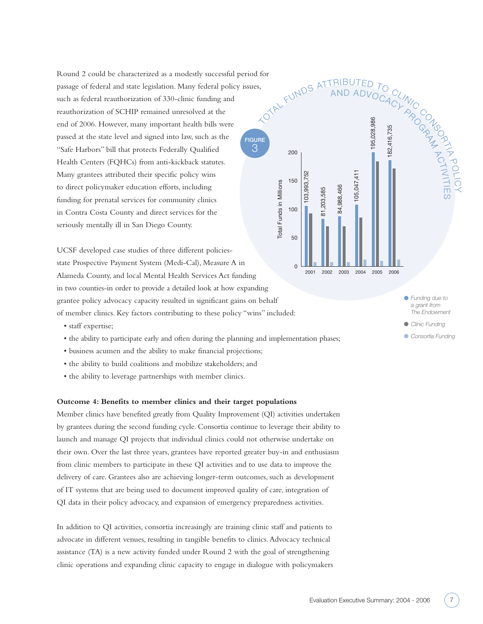Round 2 could be characterized as a modestly successful period for passage of federal and state legislation. Many federal policy issues, such as federal reauthorization of 330-clinic funding and reauthorization of SCHIP remained unresolved at the end of 2006. However, many important health bills were passed at the state level and signed into law, such as the "Safe Harbors" bill that protects Federally Qualified Health Centers (FQHCs) from anti-kickback statutes. Many grantees attributed their specific policy wins to direct policymaker education efforts, including funding for prenatal services for community clinics in Contra Costa County and direct services for the seriously mentally ill in San Diego County. **FIGURE** 3

UCSF developed case studies of three different policiesstate Prospective Payment System (Medi-Cal), Measure A in Alameda County, and local Mental Health Services Act funding in two counties-in order to provide a detailed look at how expanding grantee policy advocacy capacity resulted in significant gains on behalf of member clinics. Key factors contributing to these policy "wins" included:

- staff expertise;
- the ability to participate early and often during the planning and implementation phases;
- business acumen and the ability to make financial projections;
- the ability to build coalitions and mobilize stakeholders; and
- the ability to leverage partnerships with member clinics.

#### **Outcome 4: Benefits to member clinics and their target populations**

Member clinics have benefited greatly from Quality Improvement (QI) activities undertaken by grantees during the second funding cycle. Consortia continue to leverage their ability to launch and manage QI projects that individual clinics could not otherwise undertake on their own. Over the last three years, grantees have reported greater buy-in and enthusiasm from clinic members to participate in these QI activities and to use data to improve the delivery of care. Grantees also are achieving longer-term outcomes, such as development of IT systems that are being used to document improved quality of care, integration of QI data in their policy advocacy, and expansion of emergency preparedness activities.

In addition to QI activities, consortia increasingly are training clinic staff and patients to advocate in different venues, resulting in tangible benefits to clinics.Advocacy technical assistance (TA) is a new activity funded under Round 2 with the goal of strengthening clinic operations and expanding clinic capacity to engage in dialogue with policymakers



*Funding due to a grant from The Endowment*

PO LIC Y

- *Clinic Funding*
- *Consortia Funding*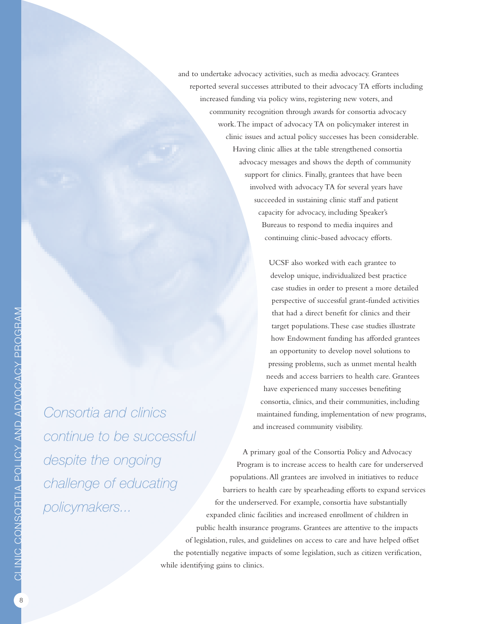and to undertake advocacy activities, such as media advocacy. Grantees reported several successes attributed to their advocacy TA efforts including increased funding via policy wins, registering new voters, and community recognition through awards for consortia advocacy work.The impact of advocacy TA on policymaker interest in clinic issues and actual policy successes has been considerable. Having clinic allies at the table strengthened consortia advocacy messages and shows the depth of community support for clinics. Finally, grantees that have been involved with advocacy TA for several years have succeeded in sustaining clinic staff and patient capacity for advocacy, including Speaker's Bureaus to respond to media inquires and continuing clinic-based advocacy efforts.

> UCSF also worked with each grantee to develop unique, individualized best practice case studies in order to present a more detailed perspective of successful grant-funded activities that had a direct benefit for clinics and their target populations.These case studies illustrate how Endowment funding has afforded grantees an opportunity to develop novel solutions to pressing problems, such as unmet mental health needs and access barriers to health care. Grantees have experienced many successes benefiting consortia, clinics, and their communities, including maintained funding, implementation of new programs, and increased community visibility.

A primary goal of the Consortia Policy and Advocacy Program is to increase access to health care for underserved populations.All grantees are involved in initiatives to reduce barriers to health care by spearheading efforts to expand services for the underserved. For example, consortia have substantially expanded clinic facilities and increased enrollment of children in public health insurance programs. Grantees are attentive to the impacts of legislation, rules, and guidelines on access to care and have helped offset the potentially negative impacts of some legislation, such as citizen verification, while identifying gains to clinics.

 $\mathbb{C}$  $\mathbb A$  $\geq$ 

> *Consortia and clinics continue to be successful despite the ongoing challenge of educating policymakers...*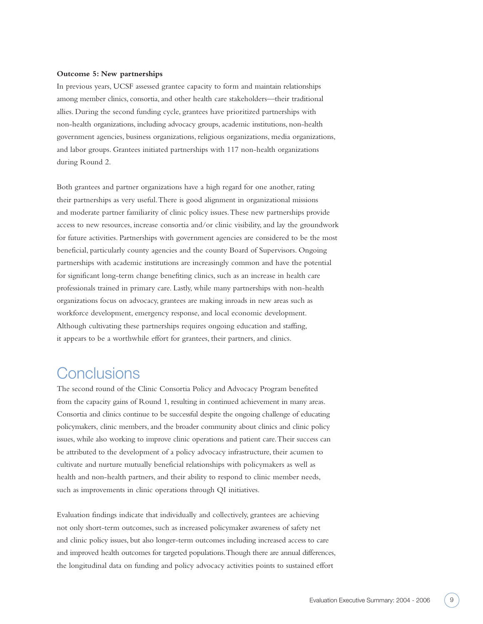#### **Outcome 5: New partnerships**

In previous years, UCSF assessed grantee capacity to form and maintain relationships among member clinics, consortia, and other health care stakeholders—their traditional allies. During the second funding cycle, grantees have prioritized partnerships with non-health organizations, including advocacy groups, academic institutions, non-health government agencies, business organizations, religious organizations, media organizations, and labor groups. Grantees initiated partnerships with 117 non-health organizations during Round 2.

Both grantees and partner organizations have a high regard for one another, rating their partnerships as very useful.There is good alignment in organizational missions and moderate partner familiarity of clinic policy issues.These new partnerships provide access to new resources, increase consortia and/or clinic visibility, and lay the groundwork for future activities. Partnerships with government agencies are considered to be the most beneficial, particularly county agencies and the county Board of Supervisors. Ongoing partnerships with academic institutions are increasingly common and have the potential for significant long-term change benefiting clinics, such as an increase in health care professionals trained in primary care. Lastly, while many partnerships with non-health organizations focus on advocacy, grantees are making inroads in new areas such as workforce development, emergency response, and local economic development. Although cultivating these partnerships requires ongoing education and staffing, it appears to be a worthwhile effort for grantees, their partners, and clinics.

## **Conclusions**

The second round of the Clinic Consortia Policy and Advocacy Program benefited from the capacity gains of Round 1, resulting in continued achievement in many areas. Consortia and clinics continue to be successful despite the ongoing challenge of educating policymakers, clinic members, and the broader community about clinics and clinic policy issues, while also working to improve clinic operations and patient care.Their success can be attributed to the development of a policy advocacy infrastructure, their acumen to cultivate and nurture mutually beneficial relationships with policymakers as well as health and non-health partners, and their ability to respond to clinic member needs, such as improvements in clinic operations through QI initiatives.

Evaluation findings indicate that individually and collectively, grantees are achieving not only short-term outcomes, such as increased policymaker awareness of safety net and clinic policy issues, but also longer-term outcomes including increased access to care and improved health outcomes for targeted populations.Though there are annual differences, the longitudinal data on funding and policy advocacy activities points to sustained effort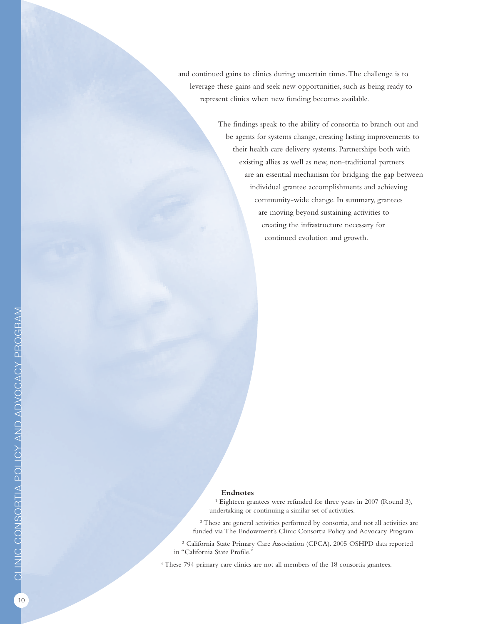and continued gains to clinics during uncertain times.The challenge is to leverage these gains and seek new opportunities, such as being ready to represent clinics when new funding becomes available.

> The findings speak to the ability of consortia to branch out and be agents for systems change, creating lasting improvements to their health care delivery systems. Partnerships both with existing allies as well as new, non-traditional partners are an essential mechanism for bridging the gap between individual grantee accomplishments and achieving community-wide change. In summary, grantees are moving beyond sustaining activities to creating the infrastructure necessary for continued evolution and growth.

#### **Endnotes**

<sup>1</sup> Eighteen grantees were refunded for three years in 2007 (Round 3), undertaking or continuing a similar set of activities.

<sup>2</sup> These are general activities performed by consortia, and not all activities are funded via The Endowment's Clinic Consortia Policy and Advocacy Program.

<sup>3</sup> California State Primary Care Association (CPCA). 2005 OSHPD data reported in "California State Profile."

<sup>4</sup> These 794 primary care clinics are not all members of the 18 consortia grantees.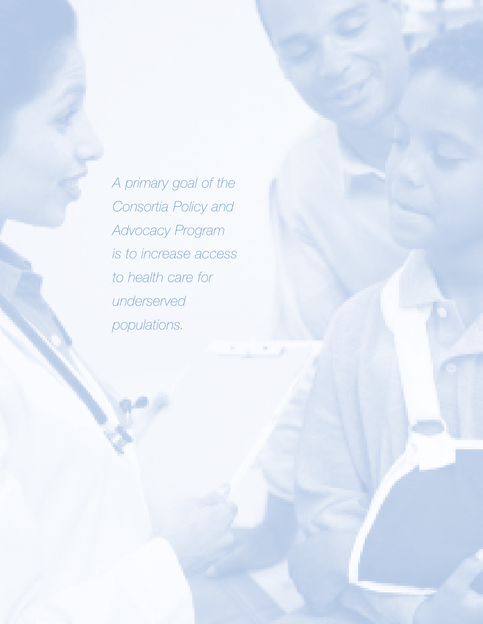*A primary goal of the Consortia Policy and Advocacy Program is to increase access to health care for underserved populations.*